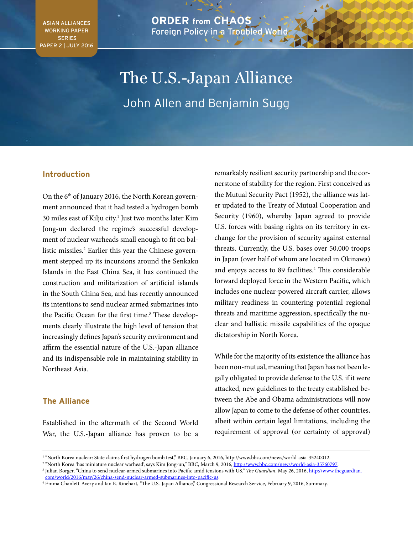**A**SIAN ALLIANCES WORKING PAPER SERIES PAPER 2 | JULY 2016

## **ORDER from CHAOS** Foreign Policy in a Troubled World

# The U.S.-Japan Alliance John Allen and Benjamin Sugg

## **Introduction**

On the 6<sup>th</sup> of January 2016, the North Korean government announced that it had tested a hydrogen bomb 30 miles east of Kilju city.<sup>1</sup> Just two months later Kim Jong-un declared the regime's successful development of nuclear warheads small enough to fit on ballistic missiles.<sup>2</sup> Earlier this year the Chinese government stepped up its incursions around the Senkaku Islands in the East China Sea, it has continued the construction and militarization of artificial islands in the South China Sea, and has recently announced its intentions to send nuclear armed submarines into the Pacific Ocean for the first time.<sup>3</sup> These developments clearly illustrate the high level of tension that increasingly defines Japan's security environment and affirm the essential nature of the U.S.-Japan alliance and its indispensable role in maintaining stability in Northeast Asia*.* 

### **The Alliance**

Established in the aftermath of the Second World War, the U.S.-Japan alliance has proven to be a

remarkably resilient security partnership and the cornerstone of stability for the region. First conceived as the Mutual Security Pact (1952), the alliance was later updated to the Treaty of Mutual Cooperation and Security (1960), whereby Japan agreed to provide U.S. forces with basing rights on its territory in exchange for the provision of security against external threats. Currently, the U.S. bases over 50,000 troops in Japan (over half of whom are located in Okinawa) and enjoys access to 89 facilities.4 This considerable forward deployed force in the Western Pacific, which includes one nuclear-powered aircraft carrier, allows military readiness in countering potential regional threats and maritime aggression, specifically the nuclear and ballistic missile capabilities of the opaque dictatorship in North Korea.

While for the majority of its existence the alliance has been non-mutual, meaning that Japan has not been legally obligated to provide defense to the U.S. if it were attacked, new guidelines to the treaty established between the Abe and Obama administrations will now allow Japan to come to the defense of other countries, albeit within certain legal limitations, including the requirement of approval (or certainty of approval)

<sup>1</sup> "North Korea nuclear: State claims first hydrogen bomb test," BBC, January 6, 2016, http://www.bbc.com/news/world-asia-35240012.

<sup>&</sup>lt;sup>2</sup> "North Korea 'has miniature nuclear warhead', says Kim Jong-un," BBC, March 9, 2016, http://www.bbc.com/news/world-asia-35760797.

<sup>&</sup>lt;sup>3</sup> Julian Borger, "China to send nuclear-armed submarines into Pacific amid tensions with US," The Guardian, May 26, 2016, [http://www.theguardian.](http://www.theguardian.com/world/2016/may/26/china-send-nuclear-armed-submarines-into-pacific-us) [com/world/2016/may/26/china-send-nuclear-armed-submarines-into-pacific-us.](http://www.theguardian.com/world/2016/may/26/china-send-nuclear-armed-submarines-into-pacific-us)

<sup>4</sup> Emma Chanlett-Avery and Ian E. Rinehart, "The U.S.-Japan Alliance," Congressional Research Service, February 9, 2016, Summary.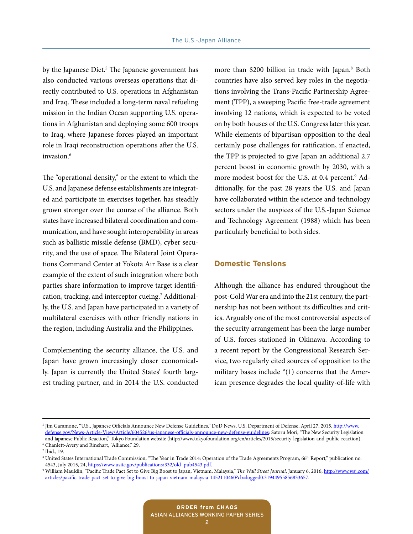by the Japanese Diet.<sup>5</sup> The Japanese government has also conducted various overseas operations that directly contributed to U.S. operations in Afghanistan and Iraq. These included a long-term naval refueling mission in the Indian Ocean supporting U.S. operations in Afghanistan and deploying some 600 troops to Iraq, where Japanese forces played an important role in Iraqi reconstruction operations after the U.S. invasion.<sup>6</sup>

The "operational density," or the extent to which the U.S. and Japanese defense establishments are integrated and participate in exercises together, has steadily grown stronger over the course of the alliance. Both states have increased bilateral coordination and communication, and have sought interoperability in areas such as ballistic missile defense (BMD), cyber security, and the use of space. The Bilateral Joint Operations Command Center at Yokota Air Base is a clear example of the extent of such integration where both parties share information to improve target identification, tracking, and interceptor cueing.<sup>7</sup> Additionally, the U.S. and Japan have participated in a variety of multilateral exercises with other friendly nations in the region, including Australia and the Philippines.

Complementing the security alliance, the U.S. and Japan have grown increasingly closer economically. Japan is currently the United States' fourth largest trading partner, and in 2014 the U.S. conducted

more than \$200 billion in trade with Japan.<sup>8</sup> Both countries have also served key roles in the negotiations involving the Trans-Pacific Partnership Agreement (TPP), a sweeping Pacific free-trade agreement involving 12 nations, which is expected to be voted on by both houses of the U.S. Congress later this year. While elements of bipartisan opposition to the deal certainly pose challenges for ratification, if enacted, the TPP is projected to give Japan an additional 2.7 percent boost in economic growth by 2030, with a more modest boost for the U.S. at 0.4 percent.<sup>9</sup> Additionally, for the past 28 years the U.S. and Japan have collaborated within the science and technology sectors under the auspices of the U.S.-Japan Science and Technology Agreement (1988) which has been particularly beneficial to both sides.

#### **Domestic Tensions**

Although the alliance has endured throughout the post-Cold War era and into the 21st century, the partnership has not been without its difficulties and critics. Arguably one of the most controversial aspects of the security arrangement has been the large number of U.S. forces stationed in Okinawa. According to a recent report by the Congressional Research Service, two regularly cited sources of opposition to the military bases include "(1) concerns that the American presence degrades the local quality-of-life with

<sup>&</sup>lt;sup>5</sup> Jim Garamone, "U.S., Japanese Officials Announce New Defense Guidelines," DoD News, U.S. Department of Defense, April 27, 2015, <u>[http://www.](http://www.defense.gov/News-Article-View/Article/604526/us-japanese-officials-announce-new-defense-guidelines)</u> [defense.gov/News-Article-View/Article/604526/us-japanese-officials-announce-new-defense-guidelines:](http://www.defense.gov/News-Article-View/Article/604526/us-japanese-officials-announce-new-defense-guidelines) Satoru Mori, "The New Security Legislation and Japanese Public Reaction," Tokyo Foundation website (http://www.tokyofoundation.org/en/articles/2015/security-legislation-and-public-reaction). 6 Chanlett-Avery and Rinehart, "Alliance," 29.

<sup>7</sup> Ibid., 19.

<sup>&</sup>lt;sup>8</sup> United States International Trade Commission, "The Year in Trade 2014: Operation of the Trade Agreements Program, 66<sup>th</sup> Report," publication no.<br>4543, July 2015, 24, https://www.usitc.gov/publications/332/old\_pub4543.

<sup>&</sup>lt;sup>9</sup> William Mauldin, "Pacific Trade Pact Set to Give Big Boost to Japan, Vietnam, Malaysia," The Wall Street Journal, January 6, 2016, [http://www.wsj.com/](http://www.wsj.com/articles/pacific-trade-pact-set-to-give-big-boost-to-japan-vietnam-malaysia-1452110460?cb=logged0.31944955856833657) [articles/pacific-trade-pact-set-to-give-big-boost-to-japan-vietnam-malaysia-1452110460?cb=logged0.31944955856833657](http://www.wsj.com/articles/pacific-trade-pact-set-to-give-big-boost-to-japan-vietnam-malaysia-1452110460?cb=logged0.31944955856833657).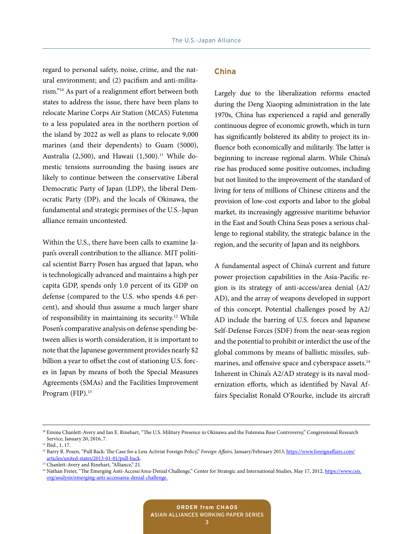regard to personal safety, noise, crime, and the natural environment; and (2) pacifism and anti-militarism."10 As part of a realignment effort between both states to address the issue, there have been plans to relocate Marine Corps Air Station (MCAS) Futenma to a less populated area in the northern portion of the island by 2022 as well as plans to relocate 9,000 marines (and their dependents) to Guam (5000), Australia (2,500), and Hawaii  $(1,500).$ <sup>11</sup> While domestic tensions surrounding the basing issues are likely to continue between the conservative Liberal Democratic Party of Japan (LDP), the liberal Democratic Party (DP), and the locals of Okinawa, the fundamental and strategic premises of the U.S.-Japan alliance remain uncontested.

Within the U.S., there have been calls to examine Japan's overall contribution to the alliance. MIT political scientist Barry Posen has argued that Japan, who is technologically advanced and maintains a high per capita GDP, spends only 1.0 percent of its GDP on defense (compared to the U.S. who spends 4.6 percent), and should thus assume a much larger share of responsibility in maintaining its security.<sup>12</sup> While Posen's comparative analysis on defense spending between allies is worth consideration, it is important to note that the Japanese government provides nearly \$2 billion a year to offset the cost of stationing U.S. forces in Japan by means of both the Special Measures Agreements (SMAs) and the Facilities Improvement Program (FIP).<sup>13</sup>

#### **China**

Largely due to the liberalization reforms enacted during the Deng Xiaoping administration in the late 1970s, China has experienced a rapid and generally continuous degree of economic growth, which in turn has significantly bolstered its ability to project its influence both economically and militarily. The latter is beginning to increase regional alarm. While China's rise has produced some positive outcomes, including but not limited to the improvement of the standard of living for tens of millions of Chinese citizens and the provision of low-cost exports and labor to the global market, its increasingly aggressive maritime behavior in the East and South China Seas poses a serious challenge to regional stability, the strategic balance in the region, and the security of Japan and its neighbors.

A fundamental aspect of China's current and future power projection capabilities in the Asia-Pacific region is its strategy of anti-access/area denial (A2/ AD), and the array of weapons developed in support of this concept. Potential challenges posed by A2/ AD include the barring of U.S. forces and Japanese Self-Defense Forces (SDF) from the near-seas region and the potential to prohibit or interdict the use of the global commons by means of ballistic missiles, submarines, and offensive space and cyberspace assets.<sup>14</sup> Inherent in China's A2/AD strategy is its naval modernization efforts, which as identified by Naval Affairs Specialist Ronald O'Rourke, include its aircraft

<sup>&</sup>lt;sup>10</sup> Emma Chanlett-Avery and Ian E. Rinehart, "The U.S. Military Presence in Okinawa and the Futenma Base Controversy," Congressional Research Service, January 20, 2016, 7.

<sup>&</sup>lt;sup>11</sup> Ibid., 1, 17.

<sup>&</sup>lt;sup>12</sup> Barry R. Posen, "Pull Back: The Case for a Less Activist Foreign Policy," *Foreign Affairs*, January/February 2013, [https://www.foreignaffairs.com/](https://www.foreignaffairs.com/articles/united-states/2013-01-01/pull-back) [articles/united-states/2013-01-01/pull-back.](https://www.foreignaffairs.com/articles/united-states/2013-01-01/pull-back) 13 Chanlett-Avery and Rinehart, "Alliance," 21.

<sup>&</sup>lt;sup>14</sup> Nathan Freier, "The Emerging Anti-Access/Area-Denial Challenge," Center for Strategic and International Studies, May 17, 2012, [https://www.csis.](https://www.csis.org/analysis/emerging-anti-accessarea-denial-challenge) [org/analysis/emerging-anti-accessarea-denial-challenge.](https://www.csis.org/analysis/emerging-anti-accessarea-denial-challenge)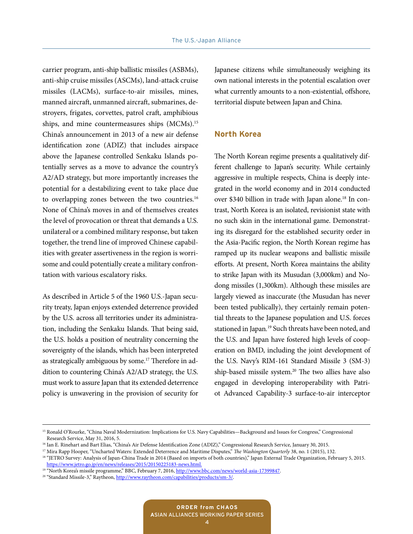carrier program, anti-ship ballistic missiles (ASBMs), anti-ship cruise missiles (ASCMs), land-attack cruise missiles (LACMs), surface-to-air missiles, mines, manned aircraft, unmanned aircraft, submarines, destroyers, frigates, corvettes, patrol craft, amphibious ships, and mine countermeasures ships (MCMs).15 China's announcement in 2013 of a new air defense identification zone (ADIZ) that includes airspace above the Japanese controlled Senkaku Islands potentially serves as a move to advance the country's A2/AD strategy, but more importantly increases the potential for a destabilizing event to take place due to overlapping zones between the two countries.<sup>16</sup> None of China's moves in and of themselves creates the level of provocation or threat that demands a U.S. unilateral or a combined military response, but taken together, the trend line of improved Chinese capabilities with greater assertiveness in the region is worrisome and could potentially create a military confrontation with various escalatory risks.

As described in Article 5 of the 1960 U.S.-Japan security treaty, Japan enjoys extended deterrence provided by the U.S. across all territories under its administration, including the Senkaku Islands. That being said, the U.S. holds a position of neutrality concerning the sovereignty of the islands, which has been interpreted as strategically ambiguous by some.<sup>17</sup> Therefore in addition to countering China's A2/AD strategy, the U.S. must work to assure Japan that its extended deterrence policy is unwavering in the provision of security for Japanese citizens while simultaneously weighing its own national interests in the potential escalation over what currently amounts to a non-existential, offshore, territorial dispute between Japan and China.

#### **North Korea**

The North Korean regime presents a qualitatively different challenge to Japan's security. While certainly aggressive in multiple respects, China is deeply integrated in the world economy and in 2014 conducted over \$340 billion in trade with Japan alone.<sup>18</sup> In contrast, North Korea is an isolated, revisionist state with no such skin in the international game. Demonstrating its disregard for the established security order in the Asia-Pacific region, the North Korean regime has ramped up its nuclear weapons and ballistic missile efforts. At present, North Korea maintains the ability to strike Japan with its Musudan (3,000km) and Nodong missiles (1,300km). Although these missiles are largely viewed as inaccurate (the Musudan has never been tested publically), they certainly remain potential threats to the Japanese population and U.S. forces stationed in Japan*.* 19 Such threats have been noted, and the U.S. and Japan have fostered high levels of cooperation on BMD, including the joint development of the U.S. Navy's RIM-161 Standard Missile 3 (SM-3) ship-based missile system.<sup>20</sup> The two allies have also engaged in developing interoperability with Patriot Advanced Capability-3 surface-to-air interceptor

<sup>&</sup>lt;sup>15</sup> Ronald O'Rourke, "China Naval Modernization: Implications for U.S. Navy Capabilities—Background and Issues for Congress," Congressional Research Service, May 31, 2016, 5.

<sup>&</sup>lt;sup>16</sup> Ian E. Rinehart and Bart Elias, "China's Air Defense Identification Zone (ADIZ)," Congressional Research Service, January 30, 2015.<br><sup>17</sup> Mira Rapp Hooper, "Uncharted Waters: Extended Deterrence and Maritime Disputes,"

<sup>&</sup>lt;sup>18</sup> "JETRO Survey: Analysis of Japan-China Trade in 2014 (Based on imports of both countries)," Japan External Trade Organization, February 5, 2015. [https://www.jetro.go.jp/en/news/releases/2015/20150225183-news.html.](https://www.jetro.go.jp/en/news/releases/2015/20150225183-news.html)<br>
<sup>19</sup> "North Korea's missile programme," [BBC, February 7, 2016,](http://www.raytheon.com/capabilities/products/sm-3/) <u>http://www.bbc.com/news/world-asia-17399847</u>.<br>
<sup>20</sup> "Standard Missile-3," Raytheon, <u>ht</u>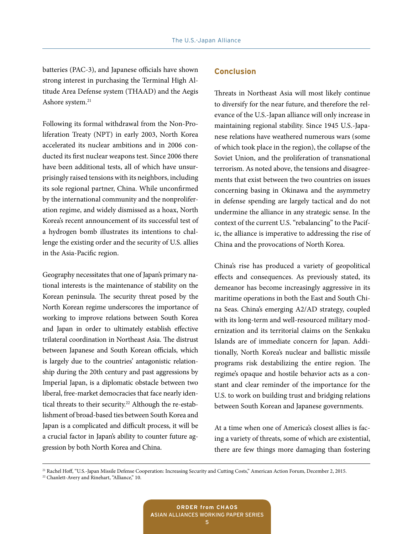batteries (PAC-3), and Japanese officials have shown strong interest in purchasing the Terminal High Altitude Area Defense system (THAAD) and the Aegis Ashore system.<sup>21</sup>

Following its formal withdrawal from the Non-Proliferation Treaty (NPT) in early 2003, North Korea accelerated its nuclear ambitions and in 2006 conducted its first nuclear weapons test. Since 2006 there have been additional tests, all of which have unsurprisingly raised tensions with its neighbors, including its sole regional partner, China. While unconfirmed by the international community and the nonproliferation regime, and widely dismissed as a hoax, North Korea's recent announcement of its successful test of a hydrogen bomb illustrates its intentions to challenge the existing order and the security of U.S. allies in the Asia-Pacific region.

Geography necessitates that one of Japan's primary national interests is the maintenance of stability on the Korean peninsula. The security threat posed by the North Korean regime underscores the importance of working to improve relations between South Korea and Japan in order to ultimately establish effective trilateral coordination in Northeast Asia. The distrust between Japanese and South Korean officials, which is largely due to the countries' antagonistic relationship during the 20th century and past aggressions by Imperial Japan, is a diplomatic obstacle between two liberal, free-market democracies that face nearly identical threats to their security.<sup>22</sup> Although the re-establishment of broad-based ties between South Korea and Japan is a complicated and difficult process, it will be a crucial factor in Japan's ability to counter future aggression by both North Korea and China.

#### **Conclusion**

Threats in Northeast Asia will most likely continue to diversify for the near future, and therefore the relevance of the U.S.-Japan alliance will only increase in maintaining regional stability. Since 1945 U.S.-Japanese relations have weathered numerous wars (some of which took place in the region), the collapse of the Soviet Union, and the proliferation of transnational terrorism. As noted above, the tensions and disagreements that exist between the two countries on issues concerning basing in Okinawa and the asymmetry in defense spending are largely tactical and do not undermine the alliance in any strategic sense. In the context of the current U.S. "rebalancing" to the Pacific, the alliance is imperative to addressing the rise of China and the provocations of North Korea.

China's rise has produced a variety of geopolitical effects and consequences. As previously stated, its demeanor has become increasingly aggressive in its maritime operations in both the East and South China Seas. China's emerging A2/AD strategy, coupled with its long-term and well-resourced military modernization and its territorial claims on the Senkaku Islands are of immediate concern for Japan. Additionally, North Korea's nuclear and ballistic missile programs risk destabilizing the entire region. The regime's opaque and hostile behavior acts as a constant and clear reminder of the importance for the U.S. to work on building trust and bridging relations between South Korean and Japanese governments.

At a time when one of America's closest allies is facing a variety of threats, some of which are existential, there are few things more damaging than fostering

21 Rachel Hoff, "U.S.-Japan Missile Defense Cooperation: Increasing Security and Cutting Costs," American Action Forum, December 2, 2015.

<sup>&</sup>lt;sup>22</sup> Chanlett-Avery and Rinehart, "Alliance," 10.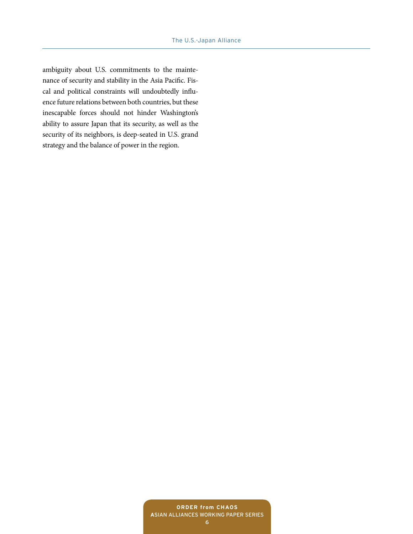ambiguity about U.S. commitments to the maintenance of security and stability in the Asia Pacific. Fiscal and political constraints will undoubtedly influence future relations between both countries, but these inescapable forces should not hinder Washington's ability to assure Japan that its security, as well as the security of its neighbors, is deep-seated in U.S. grand strategy and the balance of power in the region.